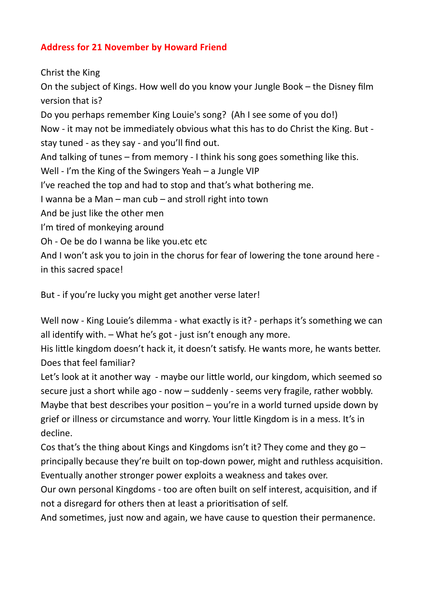## **Address for 21 November by Howard Friend**

Christ the King On the subject of Kings. How well do you know your Jungle Book – the Disney film version that is? Do you perhaps remember King Louie's song? (Ah I see some of you do!) Now - it may not be immediately obvious what this has to do Christ the King. But stay tuned - as they say - and you'll find out. And talking of tunes – from memory - I think his song goes something like this. Well - I'm the King of the Swingers Yeah – a Jungle VIP I've reached the top and had to stop and that's what bothering me. I wanna be a Man – man cub – and stroll right into town And be just like the other men I'm tired of monkeying around Oh - Oe be do I wanna be like you.etc etc And I won't ask you to join in the chorus for fear of lowering the tone around here -

in this sacred space!

But - if you're lucky you might get another verse later!

Well now - King Louie's dilemma - what exactly is it? - perhaps it's something we can all identify with. – What he's got - just isn't enough any more.

His little kingdom doesn't hack it, it doesn't satisfy. He wants more, he wants better. Does that feel familiar?

Let's look at it another way - maybe our little world, our kingdom, which seemed so secure just a short while ago - now – suddenly - seems very fragile, rather wobbly. Maybe that best describes your position – you're in a world turned upside down by grief or illness or circumstance and worry. Your little Kingdom is in a mess. It's in decline.

Cos that's the thing about Kings and Kingdoms isn't it? They come and they go  $$ principally because they're built on top-down power, might and ruthless acquisition. Eventually another stronger power exploits a weakness and takes over.

Our own personal Kingdoms - too are often built on self interest, acquisition, and if not a disregard for others then at least a prioritisation of self.

And sometimes, just now and again, we have cause to question their permanence.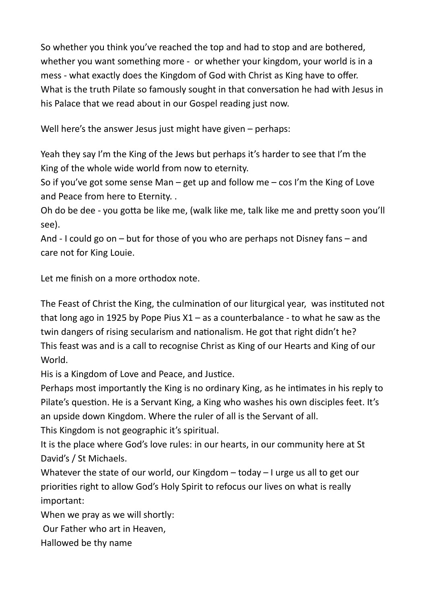So whether you think you've reached the top and had to stop and are bothered, whether you want something more - or whether your kingdom, your world is in a mess - what exactly does the Kingdom of God with Christ as King have to offer. What is the truth Pilate so famously sought in that conversation he had with Jesus in his Palace that we read about in our Gospel reading just now.

Well here's the answer Jesus just might have given – perhaps:

Yeah they say I'm the King of the Jews but perhaps it's harder to see that I'm the King of the whole wide world from now to eternity.

So if you've got some sense Man – get up and follow me – cos I'm the King of Love and Peace from here to Eternity. .

Oh do be dee - you gotta be like me, (walk like me, talk like me and pretty soon you'll see).

And - I could go on – but for those of you who are perhaps not Disney fans – and care not for King Louie.

Let me finish on a more orthodox note.

The Feast of Christ the King, the culmination of our liturgical year, was instituted not that long ago in 1925 by Pope Pius  $X1 - as$  a counterbalance - to what he saw as the twin dangers of rising secularism and nationalism. He got that right didn't he? This feast was and is a call to recognise Christ as King of our Hearts and King of our World.

His is a Kingdom of Love and Peace, and Justice.

Perhaps most importantly the King is no ordinary King, as he intimates in his reply to Pilate's question. He is a Servant King, a King who washes his own disciples feet. It's an upside down Kingdom. Where the ruler of all is the Servant of all.

This Kingdom is not geographic it's spiritual.

It is the place where God's love rules: in our hearts, in our community here at St David's / St Michaels.

Whatever the state of our world, our Kingdom – today – I urge us all to get our priorities right to allow God's Holy Spirit to refocus our lives on what is really important:

When we pray as we will shortly:

Our Father who art in Heaven,

Hallowed be thy name